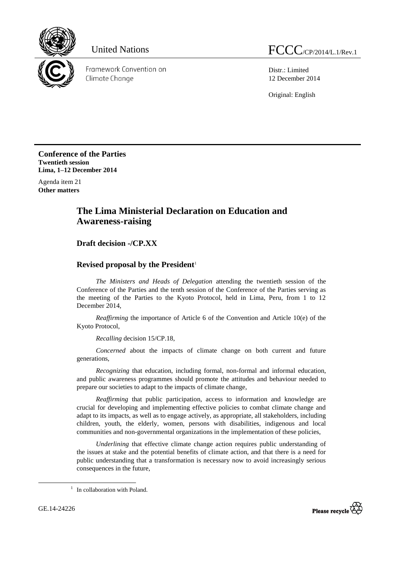

Framework Convention on Climate Change

Distr.: Limited 12 December 2014

Original: English

**Conference of the Parties Twentieth session Lima, 1–12 December 2014**

Agenda item 21 **Other matters**

## **The Lima Ministerial Declaration on Education and Awareness-raising**

## **Draft decision -/CP.XX**

## **Revised proposal by the President**<sup>1</sup>

*The Ministers and Heads of Delegation* attending the twentieth session of the Conference of the Parties and the tenth session of the Conference of the Parties serving as the meeting of the Parties to the Kyoto Protocol, held in Lima, Peru, from 1 to 12 December 2014,

*Reaffirming* the importance of Article 6 of the Convention and Article 10(e) of the Kyoto Protocol,

*Recalling* decision 15/CP.18,

*Concerned* about the impacts of climate change on both current and future generations,

*Recognizing* that education, including formal, non-formal and informal education, and public awareness programmes should promote the attitudes and behaviour needed to prepare our societies to adapt to the impacts of climate change,

*Reaffirming* that public participation, access to information and knowledge are crucial for developing and implementing effective policies to combat climate change and adapt to its impacts, as well as to engage actively, as appropriate, all stakeholders, including children, youth, the elderly, women, persons with disabilities, indigenous and local communities and non-governmental organizations in the implementation of these policies,

*Underlining* that effective climate change action requires public understanding of the issues at stake and the potential benefits of climate action, and that there is a need for public understanding that a transformation is necessary now to avoid increasingly serious consequences in the future,

-



<sup>&</sup>lt;sup>1</sup> In collaboration with Poland.